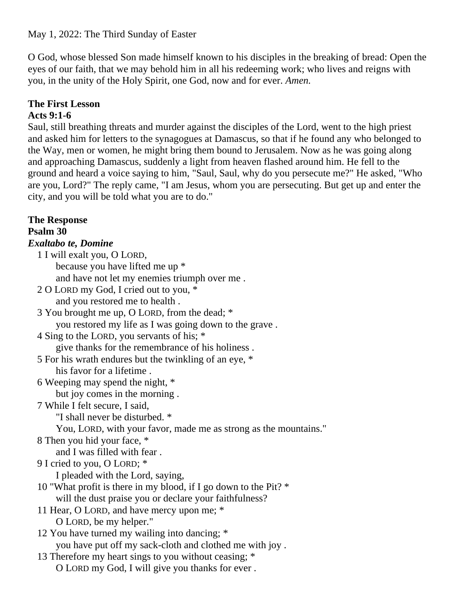May 1, 2022: The Third Sunday of Easter

O God, whose blessed Son made himself known to his disciples in the breaking of bread: Open the eyes of our faith, that we may behold him in all his redeeming work; who lives and reigns with you, in the unity of the Holy Spirit, one God, now and for ever. *Amen.*

# **The First Lesson**

## **Acts 9:1-6**

Saul, still breathing threats and murder against the disciples of the Lord, went to the high priest and asked him for letters to the synagogues at Damascus, so that if he found any who belonged to the Way, men or women, he might bring them bound to Jerusalem. Now as he was going along and approaching Damascus, suddenly a light from heaven flashed around him. He fell to the ground and heard a voice saying to him, "Saul, Saul, why do you persecute me?" He asked, "Who are you, Lord?" The reply came, "I am Jesus, whom you are persecuting. But get up and enter the city, and you will be told what you are to do."

**The Response Psalm 30** *Exaltabo te, Domine* 1 I will exalt you, O LORD, because you have lifted me up \* and have not let my enemies triumph over me . 2 O LORD my God, I cried out to you, \* and you restored me to health . 3 You brought me up, O LORD, from the dead; \* you restored my life as I was going down to the grave . 4 Sing to the LORD, you servants of his; \* give thanks for the remembrance of his holiness . 5 For his wrath endures but the twinkling of an eye, \* his favor for a lifetime . 6 Weeping may spend the night, \* but joy comes in the morning . 7 While I felt secure, I said, "I shall never be disturbed. \* You, LORD, with your favor, made me as strong as the mountains." 8 Then you hid your face, \* and I was filled with fear . 9 I cried to you, O LORD; \* I pleaded with the Lord, saying, 10 "What profit is there in my blood, if I go down to the Pit? \* will the dust praise you or declare your faithfulness? 11 Hear, O LORD, and have mercy upon me; \* O LORD, be my helper." 12 You have turned my wailing into dancing; \* you have put off my sack-cloth and clothed me with joy . 13 Therefore my heart sings to you without ceasing; \* O LORD my God, I will give you thanks for ever .